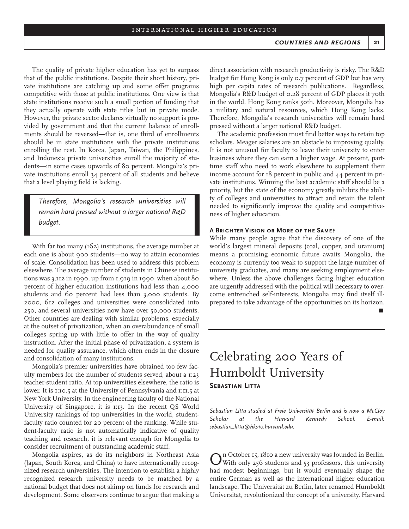The quality of private higher education has yet to surpass that of the public institutions. Despite their short history, private institutions are catching up and some offer programs competitive with those at public institutions. One view is that state institutions receive such a small portion of funding that they actually operate with state titles but in private mode. However, the private sector declares virtually no support is provided by government and that the current balance of enrollments should be reversed—that is, one third of enrollments should be in state institutions with the private institutions enrolling the rest. In Korea, Japan, Taiwan, the Philippines, and Indonesia private universities enroll the majority of students—in some cases upwards of 80 percent. Mongolia's private institutions enroll 34 percent of all students and believe that a level playing field is lacking.

*Therefore, Mongolia's research universities will remain hard pressed without a larger national R&D budget.*

With far too many (162) institutions, the average number at each one is about 900 students—no way to attain economies of scale. Consolidation has been used to address this problem elsewhere. The average number of students in Chinese institutions was 3,112 in 1990, up from 1,919 in 1990, when about 80 percent of higher education institutions had less than 4,000 students and 60 percent had less than 3,000 students. By 2000, 612 colleges and universities were consolidated into 250, and several universities now have over 50,000 students. Other countries are dealing with similar problems, especially at the outset of privatization, when an overabundance of small colleges spring up with little to offer in the way of quality instruction. After the initial phase of privatization, a system is needed for quality assurance, which often ends in the closure and consolidation of many institutions.

Mongolia's premier universities have obtained too few faculty members for the number of students served, about a 1:23 teacher-student ratio. At top universities elsewhere, the ratio is lower. It is 1:10.5 at the University of Pennsylvania and 1:11.5 at New York University. In the engineering faculty of the National University of Singapore, it is 1:13. In the recent QS World University rankings of top universities in the world, studentfaculty ratio counted for 20 percent of the ranking. While student-faculty ratio is not automatically indicative of quality teaching and research, it is relevant enough for Mongolia to consider recruitment of outstanding academic staff.

Mongolia aspires, as do its neighbors in Northeast Asia (Japan, South Korea, and China) to have internationally recognized research universities. The intention to establish a highly recognized research university needs to be matched by a national budget that does not skimp on funds for research and development. Some observers continue to argue that making a

direct association with research productivity is risky. The R&D budget for Hong Kong is only 0.7 percent of GDP but has very high per capita rates of research publications. Regardless, Mongolia's R&D budget of 0.28 percent of GDP places it 70th in the world. Hong Kong ranks 50th. Moreover, Mongolia has a military and natural resources, which Hong Kong lacks. Therefore, Mongolia's research universities will remain hard pressed without a larger national R&D budget.

The academic profession must find better ways to retain top scholars. Meager salaries are an obstacle to improving quality. It is not unusual for faculty to leave their university to enter business where they can earn a higher wage. At present, parttime staff who need to work elsewhere to supplement their income account for 18 percent in public and 44 percent in private institutions. Winning the best academic staff should be a priority, but the state of the economy greatly inhibits the ability of colleges and universities to attract and retain the talent needed to significantly improve the quality and competitiveness of higher education.

#### **A Brighter Vision or More of the Same?**

While many people agree that the discovery of one of the world's largest mineral deposits (coal, copper, and uranium) means a promising economic future awaits Mongolia, the economy is currently too weak to support the large number of university graduates, and many are seeking employment elsewhere. Unless the above challenges facing higher education are urgently addressed with the political will necessary to overcome entrenched self-interests, Mongolia may find itself illprepared to take advantage of the opportunities on its horizon.

# Celebrating 200 Years of Humboldt University **Sebastian Litta**

*Sebastian Litta studied at Freie Universität Berlin and is now a McCloy Scholar at the Harvard Kennedy School. E-mail: sebastian\_litta@hks10.harvard.edu.*

On October 15, 1810 a new university was founded in Berlin.<br>O With only 256 students and 53 professors, this university had modest beginnings, but it would eventually shape the entire German as well as the international higher education landscape. The Universität zu Berlin, later renamed Humboldt Universität, revolutionized the concept of a university. Harvard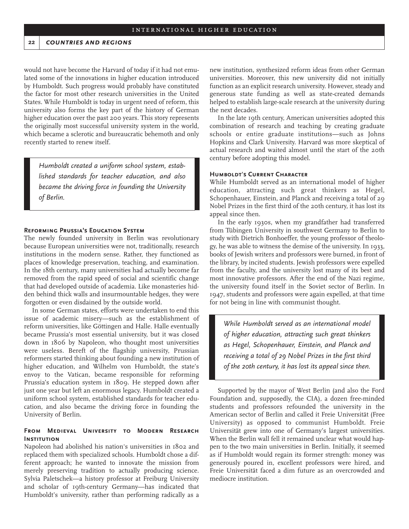#### **22** *countries and regions*

would not have become the Harvard of today if it had not emulated some of the innovations in higher education introduced by Humboldt. Such progress would probably have constituted the factor for most other research universities in the United States. While Humboldt is today in urgent need of reform, this university also forms the key part of the history of German higher education over the past 200 years. This story represents the originally most successful university system in the world, which became a sclerotic and bureaucratic behemoth and only recently started to renew itself.

*Humboldt created a uniform school system, established standards for teacher education, and also became the driving force in founding the University of Berlin.*

### **Reforming Prussia's Education System**

The newly founded university in Berlin was revolutionary because European universities were not, traditionally, research institutions in the modern sense. Rather, they functioned as places of knowledge preservation, teaching, and examination. In the 18th century, many universities had actually become far removed from the rapid speed of social and scientific change that had developed outside of academia. Like monasteries hidden behind thick walls and insurmountable hedges, they were forgotten or even disdained by the outside world.

In some German states, efforts were undertaken to end this issue of academic misery—such as the establishment of reform universities, like Göttingen and Halle. Halle eventually became Prussia's most essential university, but it was closed down in 1806 by Napoleon, who thought most universities were useless. Bereft of the flagship university, Prussian reformers started thinking about founding a new institution of higher education, and Wilhelm von Humboldt, the state's envoy to the Vatican, became responsible for reforming Prussia's education system in 1809. He stepped down after just one year but left an enormous legacy. Humboldt created a uniform school system, established standards for teacher education, and also became the driving force in founding the University of Berlin.

# **From Medieval University to Modern Research INSTITUTION**

Napoleon had abolished his nation's universities in 1802 and replaced them with specialized schools. Humboldt chose a different approach; he wanted to innovate the mission from merely preserving tradition to actually producing science. Sylvia Paletschek—a history professor at Freiburg University and scholar of 19th-century Germany—has indicated that Humboldt's university, rather than performing radically as a

new institution, synthesized reform ideas from other German universities. Moreover, this new university did not initially function as an explicit research university. However, steady and generous state funding as well as state-created demands helped to establish large-scale research at the university during the next decades.

In the late 19th century, American universities adopted this combination of research and teaching by creating graduate schools or entire graduate institutions—such as Johns Hopkins and Clark University. Harvard was more skeptical of actual research and waited almost until the start of the 20th century before adopting this model.

## **Humboldt's Current Character**

While Humboldt served as an international model of higher education, attracting such great thinkers as Hegel, Schopenhauer, Einstein, and Planck and receiving a total of 29 Nobel Prizes in the first third of the 20th century, it has lost its appeal since then.

In the early 1930s, when my grandfather had transferred from Tübingen University in southwest Germany to Berlin to study with Dietrich Bonhoeffer, the young professor of theology, he was able to witness the demise of the university. In 1933, books of Jewish writers and professors were burned, in front of the library, by incited students. Jewish professors were expelled from the faculty, and the university lost many of its best and most innovative professors. After the end of the Nazi regime, the university found itself in the Soviet sector of Berlin. In 1947, students and professors were again expelled, at that time for not being in line with communist thought.

*While Humboldt served as an international model of higher education, attracting such great thinkers as Hegel, Schopenhauer, Einstein, and Planck and receiving a total of 29 Nobel Prizes in the first third of the 20th century, it has lost its appeal since then.*

Supported by the mayor of West Berlin (and also the Ford Foundation and, supposedly, the CIA), a dozen free-minded students and professors refounded the university in the American sector of Berlin and called it Freie Universität (Free University) as opposed to communist Humboldt. Freie Universität grew into one of Germany's largest universities. When the Berlin wall fell it remained unclear what would happen to the two main universities in Berlin. Initially, it seemed as if Humboldt would regain its former strength: money was generously poured in, excellent professors were hired, and Freie Universität faced a dim future as an overcrowded and mediocre institution.